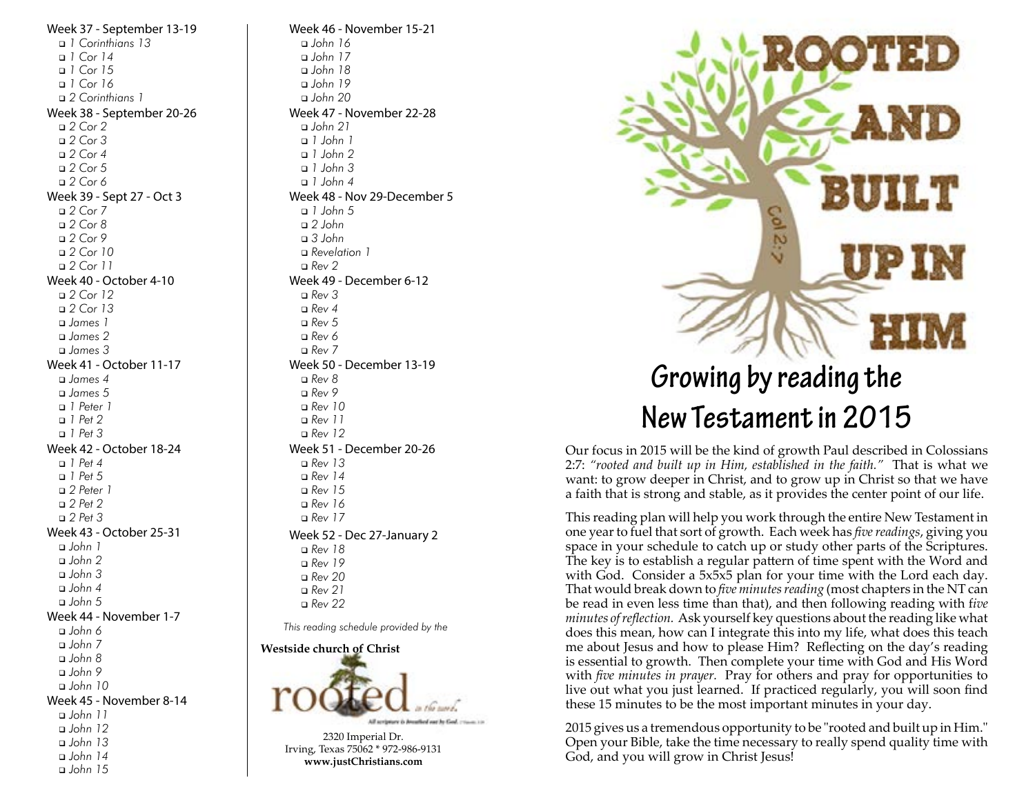Week 37 - September 13-19 <sup>q</sup> *1 Corinthians 13* <sup>q</sup> *1 Cor 14* <sup>q</sup> *1 Cor 15* <sup>q</sup> *1 Cor 16* <sup>q</sup> *2 Corinthians 1* Week 38 - September 20-26 <sup>q</sup> *2 Cor 2* <sup>q</sup> *2 Cor 3* <sup>q</sup> *2 Cor 4* <sup>q</sup> *2 Cor 5* <sup>q</sup> *2 Cor 6* Week 39 - Sept 27 - Oct 3 <sup>q</sup> *2 Cor 7* <sup>q</sup> *2 Cor 8* <sup>q</sup> *2 Cor 9* <sup>q</sup> *2 Cor 10* <sup>q</sup> *2 Cor 11* Week 40 - October 4-10 <sup>q</sup> *2 Cor 12* <sup>q</sup> *2 Cor 13* <sup>q</sup> *James 1* <sup>q</sup> *James 2* <sup>q</sup> *James 3* Week 41 - October 11-17 <sup>q</sup> *James 4* <sup>q</sup> *James 5* <sup>q</sup> *1 Peter 1* <sup>q</sup> *1 Pet 2* <sup>q</sup> *1 Pet 3* Week 42 - October 18-24 <sup>q</sup> *1 Pet 4* <sup>q</sup> *1 Pet 5* <sup>q</sup> *2 Peter 1* <sup>q</sup> *2 Pet 2* <sup>q</sup> *2 Pet 3* Week 43 - October 25-31 <sup>q</sup> *John 1* <sup>q</sup> *John 2* <sup>q</sup> *John 3* <sup>q</sup> *John 4* <sup>q</sup> *John 5* Week 44 - November 1-7 <sup>q</sup> *John 6* <sup>q</sup> *John 7* <sup>q</sup> *John 8* <sup>q</sup> *John 9* <sup>q</sup> *John 10* Week 45 - November 8-14 <sup>q</sup> *John 11* <sup>q</sup> *John 12* <sup>q</sup> *John 13* <sup>q</sup> *John 14* <sup>q</sup> *John 15*

Week 46 - November 15-21 <sup>q</sup> *John 16* <sup>q</sup> *John 17* <sup>q</sup> *John 18* <sup>q</sup> *John 19* <sup>q</sup> *John 20* Week 47 - November 22-28 <sup>q</sup> *John 21* <sup>q</sup> *1 John 1* <sup>q</sup> *1 John 2* <sup>q</sup> *1 John 3* <sup>q</sup> *1 John 4* Week 48 - Nov 29-December 5 <sup>q</sup> *1 John 5* <sup>q</sup> *2 John* <sup>q</sup> *3 John* <sup>q</sup> *Revelation 1* <sup>q</sup> *Rev 2* Week 49 - December 6-12 <sup>q</sup> *Rev 3* <sup>q</sup> *Rev 4* <sup>q</sup> *Rev 5* <sup>q</sup> *Rev 6* <sup>q</sup> *Rev 7* Week 50 - December 13-19 <sup>q</sup> *Rev 8* <sup>q</sup> *Rev 9* <sup>q</sup> *Rev 10* <sup>q</sup> *Rev 11* <sup>q</sup> *Rev 12* Week 51 - December 20-26 <sup>q</sup> *Rev 13* <sup>q</sup> *Rev 14* <sup>q</sup> *Rev 15* <sup>q</sup> *Rev 16* <sup>q</sup> *Rev 17* Week 52 - Dec 27-January 2 <sup>q</sup> *Rev 18* <sup>q</sup> *Rev 19* <sup>q</sup> *Rev 20* <sup>q</sup> *Rev 21* <sup>q</sup> *Rev 22 This reading schedule provided by the*

**Westside church of Christ**



**www.justChristians.com**



## **Growing by reading the New Testament in 2015**

Our focus in 2015 will be the kind of growth Paul described in Colossians 2:7: *"rooted and built up in Him, established in the faith."* That is what we want: to grow deeper in Christ, and to grow up in Christ so that we have a faith that is strong and stable, as it provides the center point of our life.

This reading plan will help you work through the entire New Testament in one year to fuel that sort of growth. Each week has *five readings*, giving you space in your schedule to catch up or study other parts of the Scriptures. The key is to establish a regular pattern of time spent with the Word and with God. Consider a 5x5x5 plan for your time with the Lord each day. That would break down to *five minutes reading* (most chapters in the NT can be read in even less time than that), and then following reading with f*ive minutes of reflection.* Ask yourself key questions about the reading like what does this mean, how can I integrate this into my life, what does this teach me about Jesus and how to please Him? Reflecting on the day's reading is essential to growth. Then complete your time with God and His Word with *five minutes in prayer.* Pray for others and pray for opportunities to live out what you just learned. If practiced regularly, you will soon find these 15 minutes to be the most important minutes in your day.

2015 gives us a tremendous opportunity to be "rooted and built up in Him." Open your Bible, take the time necessary to really spend quality time with God, and you will grow in Christ Jesus!